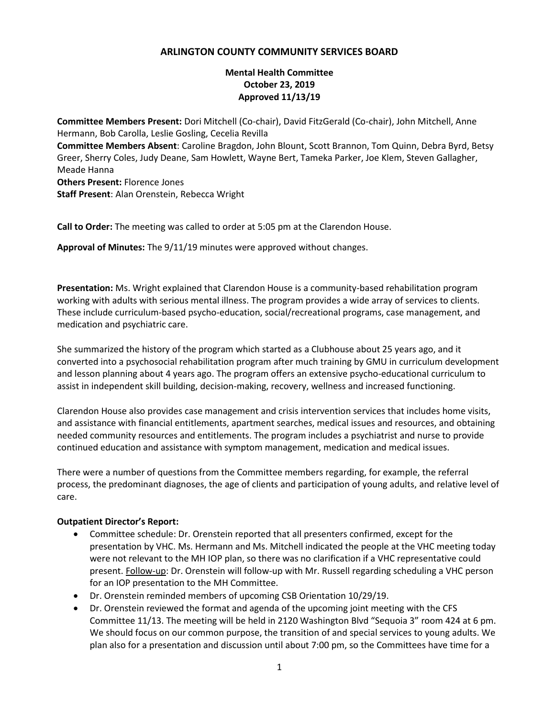## **ARLINGTON COUNTY COMMUNITY SERVICES BOARD**

## **Mental Health Committee October 23, 2019 Approved 11/13/19**

**Committee Members Present:** Dori Mitchell (Co-chair), David FitzGerald (Co-chair), John Mitchell, Anne Hermann, Bob Carolla, Leslie Gosling, Cecelia Revilla **Committee Members Absent**: Caroline Bragdon, John Blount, Scott Brannon, Tom Quinn, Debra Byrd, Betsy Greer, Sherry Coles, Judy Deane, Sam Howlett, Wayne Bert, Tameka Parker, Joe Klem, Steven Gallagher, Meade Hanna **Others Present:** Florence Jones **Staff Present**: Alan Orenstein, Rebecca Wright

**Call to Order:** The meeting was called to order at 5:05 pm at the Clarendon House.

**Approval of Minutes:** The 9/11/19 minutes were approved without changes.

**Presentation:** Ms. Wright explained that Clarendon House is a community-based rehabilitation program working with adults with serious mental illness. The program provides a wide array of services to clients. These include curriculum-based psycho-education, social/recreational programs, case management, and medication and psychiatric care.

She summarized the history of the program which started as a Clubhouse about 25 years ago, and it converted into a psychosocial rehabilitation program after much training by GMU in curriculum development and lesson planning about 4 years ago. The program offers an extensive psycho-educational curriculum to assist in independent skill building, decision-making, recovery, wellness and increased functioning.

Clarendon House also provides case management and crisis intervention services that includes home visits, and assistance with financial entitlements, apartment searches, medical issues and resources, and obtaining needed community resources and entitlements. The program includes a psychiatrist and nurse to provide continued education and assistance with symptom management, medication and medical issues.

There were a number of questions from the Committee members regarding, for example, the referral process, the predominant diagnoses, the age of clients and participation of young adults, and relative level of care.

## **Outpatient Director's Report:**

- Committee schedule: Dr. Orenstein reported that all presenters confirmed, except for the presentation by VHC. Ms. Hermann and Ms. Mitchell indicated the people at the VHC meeting today were not relevant to the MH IOP plan, so there was no clarification if a VHC representative could present. Follow-up: Dr. Orenstein will follow-up with Mr. Russell regarding scheduling a VHC person for an IOP presentation to the MH Committee.
- Dr. Orenstein reminded members of upcoming CSB Orientation 10/29/19.
- Dr. Orenstein reviewed the format and agenda of the upcoming joint meeting with the CFS Committee 11/13. The meeting will be held in 2120 Washington Blvd "Sequoia 3" room 424 at 6 pm. We should focus on our common purpose, the transition of and special services to young adults. We plan also for a presentation and discussion until about 7:00 pm, so the Committees have time for a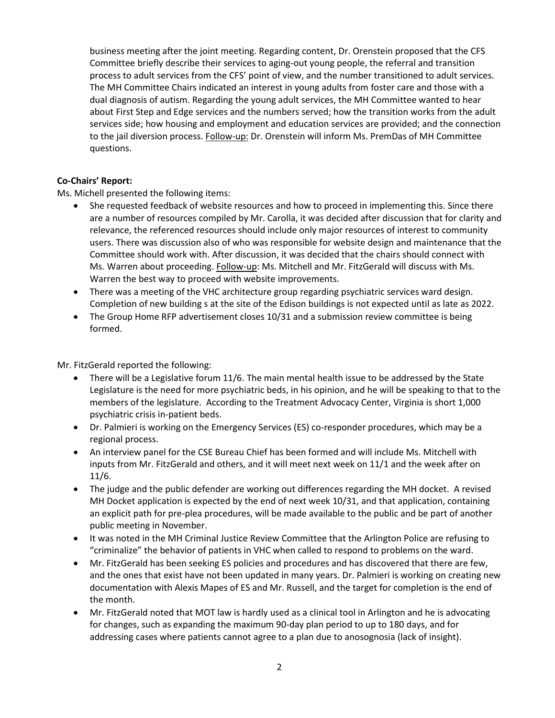business meeting after the joint meeting. Regarding content, Dr. Orenstein proposed that the CFS Committee briefly describe their services to aging-out young people, the referral and transition process to adult services from the CFS' point of view, and the number transitioned to adult services. The MH Committee Chairs indicated an interest in young adults from foster care and those with a dual diagnosis of autism. Regarding the young adult services, the MH Committee wanted to hear about First Step and Edge services and the numbers served; how the transition works from the adult services side; how housing and employment and education services are provided; and the connection to the jail diversion process. Follow-up: Dr. Orenstein will inform Ms. PremDas of MH Committee questions.

## **Co-Chairs' Report:**

Ms. Michell presented the following items:

- She requested feedback of website resources and how to proceed in implementing this. Since there are a number of resources compiled by Mr. Carolla, it was decided after discussion that for clarity and relevance, the referenced resources should include only major resources of interest to community users. There was discussion also of who was responsible for website design and maintenance that the Committee should work with. After discussion, it was decided that the chairs should connect with Ms. Warren about proceeding. Follow-up: Ms. Mitchell and Mr. FitzGerald will discuss with Ms. Warren the best way to proceed with website improvements.
- There was a meeting of the VHC architecture group regarding psychiatric services ward design. Completion of new building s at the site of the Edison buildings is not expected until as late as 2022.
- The Group Home RFP advertisement closes 10/31 and a submission review committee is being formed.

Mr. FitzGerald reported the following:

- There will be a Legislative forum 11/6. The main mental health issue to be addressed by the State Legislature is the need for more psychiatric beds, in his opinion, and he will be speaking to that to the members of the legislature. According to the Treatment Advocacy Center, Virginia is short 1,000 psychiatric crisis in-patient beds.
- Dr. Palmieri is working on the Emergency Services (ES) co-responder procedures, which may be a regional process.
- An interview panel for the CSE Bureau Chief has been formed and will include Ms. Mitchell with inputs from Mr. FitzGerald and others, and it will meet next week on 11/1 and the week after on 11/6.
- The judge and the public defender are working out differences regarding the MH docket. A revised MH Docket application is expected by the end of next week 10/31, and that application, containing an explicit path for pre-plea procedures, will be made available to the public and be part of another public meeting in November.
- It was noted in the MH Criminal Justice Review Committee that the Arlington Police are refusing to "criminalize" the behavior of patients in VHC when called to respond to problems on the ward.
- Mr. FitzGerald has been seeking ES policies and procedures and has discovered that there are few, and the ones that exist have not been updated in many years. Dr. Palmieri is working on creating new documentation with Alexis Mapes of ES and Mr. Russell, and the target for completion is the end of the month.
- Mr. FitzGerald noted that MOT law is hardly used as a clinical tool in Arlington and he is advocating for changes, such as expanding the maximum 90-day plan period to up to 180 days, and for addressing cases where patients cannot agree to a plan due to anosognosia (lack of insight).